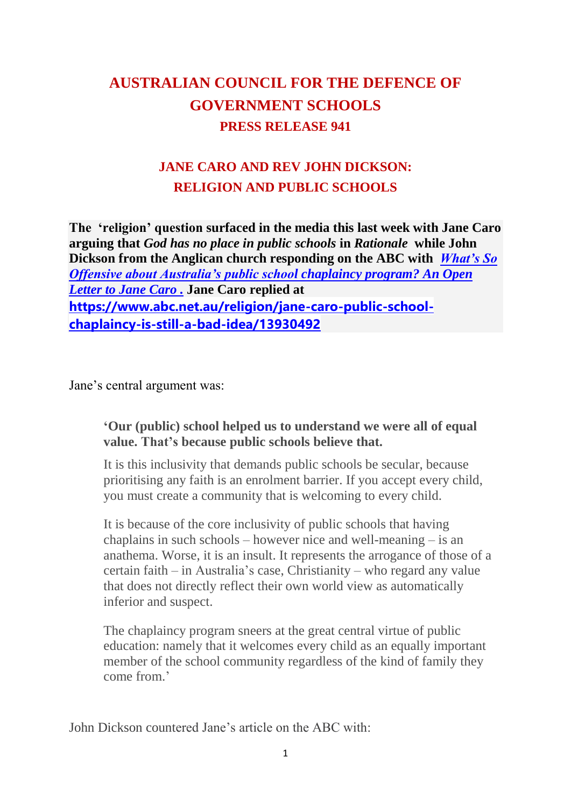# **AUSTRALIAN COUNCIL FOR THE DEFENCE OF GOVERNMENT SCHOOLS PRESS RELEASE 941**

# **JANE CARO AND REV JOHN DICKSON: RELIGION AND PUBLIC SCHOOLS**

**The 'religion' question surfaced in the media this last week with Jane Caro arguing that** *God has no place in public schools* **in** *Rationale* **while John Dickson from the Anglican church responding on the ABC with** *[What's So](https://www.abc.net.au/religion/john-dickson-what-is-offensive-about-school-chaplaincy/13926252)  [Offensive about Australia's public school chaplaincy program? An Open](https://www.abc.net.au/religion/john-dickson-what-is-offensive-about-school-chaplaincy/13926252)  [Letter to Jane Caro .](https://www.abc.net.au/religion/john-dickson-what-is-offensive-about-school-chaplaincy/13926252)* **Jane Caro replied at [https://www.abc.net.au/religion/jane-caro-public-school](https://www.abc.net.au/religion/jane-caro-public-school-chaplaincy-is-still-a-bad-idea/13930492)[chaplaincy-is-still-a-bad-idea/13930492](https://www.abc.net.au/religion/jane-caro-public-school-chaplaincy-is-still-a-bad-idea/13930492)**

Jane's central argument was:

#### **'Our (public) school helped us to understand we were all of equal value. That's because public schools believe that.**

It is this inclusivity that demands public schools be secular, because prioritising any faith is an enrolment barrier. If you accept every child, you must create a community that is welcoming to every child.

It is because of the core inclusivity of public schools that having chaplains in such schools – however nice and well-meaning – is an anathema. Worse, it is an insult. It represents the arrogance of those of a certain faith – in Australia's case, Christianity – who regard any value that does not directly reflect their own world view as automatically inferior and suspect.

The chaplaincy program sneers at the great central virtue of public education: namely that it welcomes every child as an equally important member of the school community regardless of the kind of family they come from.'

John Dickson countered Jane's article on the ABC with: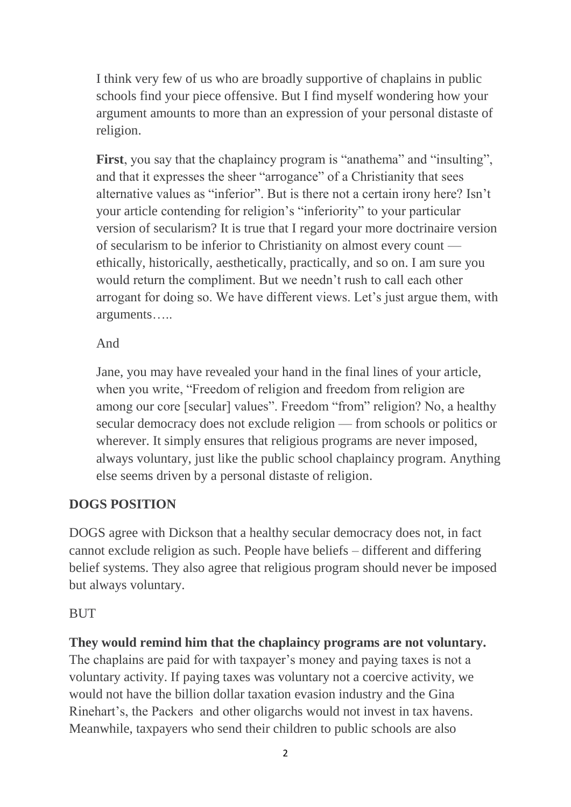I think very few of us who are broadly supportive of chaplains in public schools find your piece offensive. But I find myself wondering how your argument amounts to more than an expression of your personal distaste of religion.

First, you say that the chaplaincy program is "anathema" and "insulting", and that it expresses the sheer "arrogance" of a Christianity that sees alternative values as "inferior". But is there not a certain irony here? Isn't your article contending for religion's "inferiority" to your particular version of secularism? It is true that I regard your more doctrinaire version of secularism to be inferior to Christianity on almost every count ethically, historically, aesthetically, practically, and so on. I am sure you would return the compliment. But we needn't rush to call each other arrogant for doing so. We have different views. Let's just argue them, with arguments…..

And

Jane, you may have revealed your hand in the final lines of your article, when you write, "Freedom of religion and freedom from religion are among our core [secular] values". Freedom "from" religion? No, a healthy secular democracy does not exclude religion — from schools or politics or wherever. It simply ensures that religious programs are never imposed, always voluntary, just like the public school chaplaincy program. Anything else seems driven by a personal distaste of religion.

## **DOGS POSITION**

DOGS agree with Dickson that a healthy secular democracy does not, in fact cannot exclude religion as such. People have beliefs – different and differing belief systems. They also agree that religious program should never be imposed but always voluntary.

## **BUT**

**They would remind him that the chaplaincy programs are not voluntary.**

The chaplains are paid for with taxpayer's money and paying taxes is not a voluntary activity. If paying taxes was voluntary not a coercive activity, we would not have the billion dollar taxation evasion industry and the Gina Rinehart's, the Packers and other oligarchs would not invest in tax havens. Meanwhile, taxpayers who send their children to public schools are also